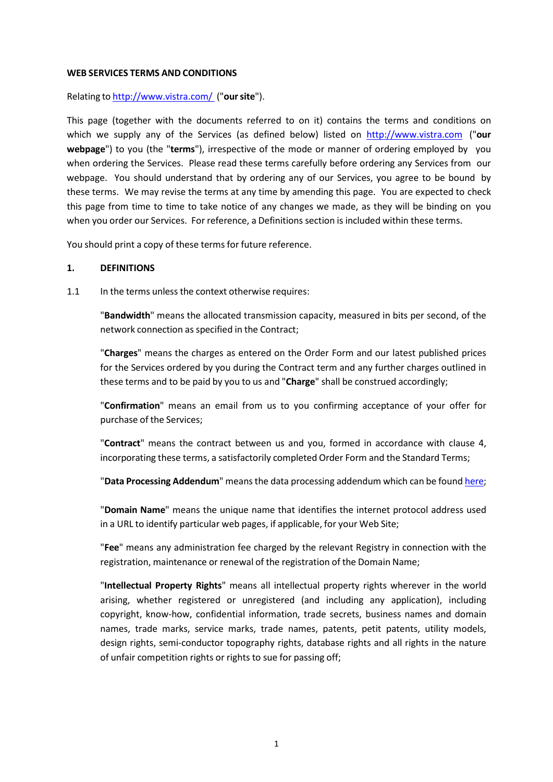#### **WEB SERVICES TERMS AND CONDITIONS**

Relating to <http://www.vistra.com/>("**oursite**").

This page (together with the documents referred to on it) contains the terms and conditions on which we supply any of the Services (as defined below) listed on [http://www.vistra.com](http://www.vistra.com/) ("**our webpage**") to you (the "**terms**"), irrespective of the mode or manner of ordering employed by you when ordering the Services. Please read these terms carefully before ordering any Services from our webpage. You should understand that by ordering any of our Services, you agree to be bound by these terms. We may revise the terms at any time by amending this page. You are expected to check this page from time to time to take notice of any changes we made, as they will be binding on you when you order our Services. For reference, a Definitions section is included within these terms.

You should print a copy of these terms for future reference.

### **1. DEFINITIONS**

1.1 In the terms unless the context otherwise requires:

"**Bandwidth**" means the allocated transmission capacity, measured in bits per second, of the network connection as specified in the Contract;

"**Charges**" means the charges as entered on the Order Form and our latest published prices for the Services ordered by you during the Contract term and any further charges outlined in these terms and to be paid by you to us and "**Charge**" shall be construed accordingly;

"**Confirmation**" means an email from us to you confirming acceptance of your offer for purchase of the Services;

"**Contract**" means the contract between us and you, formed in accordance with clause 4, incorporating these terms, a satisfactorily completed Order Form and the Standard Terms;

"**Data Processing Addendum**" means the data processing addendum which can be foun[d here;](https://businessportal.vistra.com/documents/793163/0/VCL+Data+Processing+Addendum/c34da082-2008-a6cb-5139-1226152df737)

"**Domain Name**" means the unique name that identifies the internet protocol address used in a URL to identify particular web pages, if applicable, for your Web Site;

"**Fee**" means any administration fee charged by the relevant Registry in connection with the registration, maintenance or renewal of the registration of the Domain Name;

"**Intellectual Property Rights**" means all intellectual property rights wherever in the world arising, whether registered or unregistered (and including any application), including copyright, know‐how, confidential information, trade secrets, business names and domain names, trade marks, service marks, trade names, patents, petit patents, utility models, design rights, semi-conductor topography rights, database rights and all rights in the nature of unfair competition rights or rights to sue for passing off;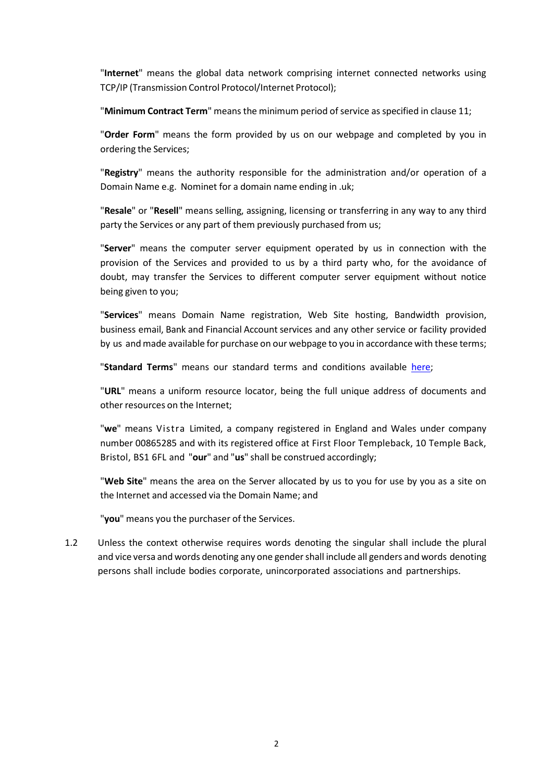"**Internet**" means the global data network comprising internet connected networks using TCP/IP (Transmission Control Protocol/Internet Protocol);

"Minimum Contract Term" means the minimum period of service as specified in clause 11;

"**Order Form**" means the form provided by us on our webpage and completed by you in ordering the Services;

"**Registry**" means the authority responsible for the administration and/or operation of a Domain Name e.g. Nominet for a domain name ending in .uk;

"**Resale**" or "**Resell**" means selling, assigning, licensing or transferring in any way to any third party the Services or any part of them previously purchased from us;

"**Server**" means the computer server equipment operated by us in connection with the provision of the Services and provided to us by a third party who, for the avoidance of doubt, may transfer the Services to different computer server equipment without notice being given to you;

"**Services**" means Domain Name registration, Web Site hosting, Bandwidth provision, business email, Bank and Financial Account services and any other service or facility provided by us and made available for purchase on our webpage to you in accordance with these terms;

"**Standard Terms**" means our standard terms and conditions available [here;](https://businessportal.vistra.com/documents/793163/0/Vistra+Limited+Terms/e964c1a7-1b34-9f09-502b-ba9c5bd621b2)

"**URL**" means a uniform resource locator, being the full unique address of documents and other resources on the Internet;

"**we**" means Vistra Limited, a company registered in England and Wales under company number 00865285 and with its registered office at First Floor Templeback, 10 Temple Back, Bristol, BS1 6FL and "**our**" and "**us**" shall be construed accordingly;

"**Web Site**" means the area on the Server allocated by us to you for use by you as a site on the Internet and accessed via the Domain Name; and

"**you**" means you the purchaser of the Services.

1.2 Unless the context otherwise requires words denoting the singular shall include the plural and vice versa and words denoting any one gendershall include all genders and words denoting persons shall include bodies corporate, unincorporated associations and partnerships.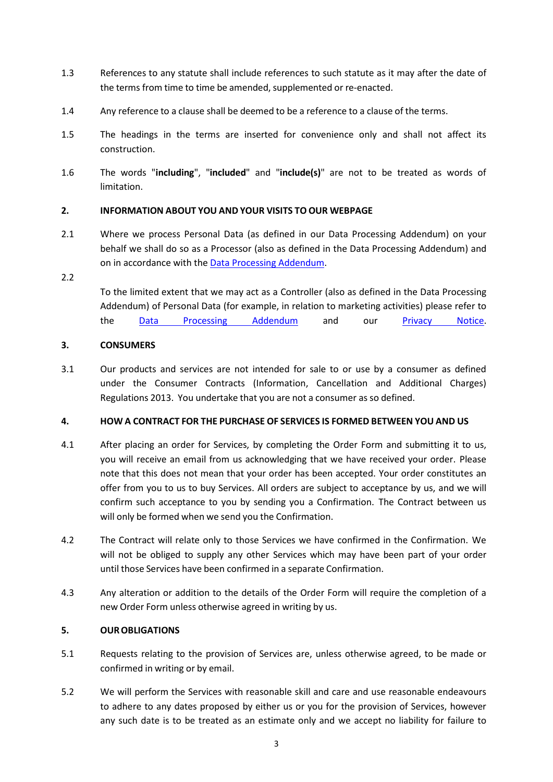- 1.3 References to any statute shall include references to such statute as it may after the date of the terms from time to time be amended, supplemented or re-enacted.
- 1.4 Any reference to a clause shall be deemed to be a reference to a clause of the terms.
- 1.5 The headings in the terms are inserted for convenience only and shall not affect its construction.
- 1.6 The words "**including**", "**included**" and "**include(s)**" are not to be treated as words of limitation.

### **2. INFORMATION ABOUT YOU AND YOUR VISITS TO OUR WEBPAGE**

2.1 Where we process Personal Data (as defined in our Data Processing Addendum) on your behalf we shall do so as a Processor (also as defined in the Data Processing Addendum) and on in accordance with the [Data Processing Addendum.](https://businessportal.vistra.com/documents/793163/0/Vistra+Data+Processing+Addendum/3b9a9eb0-ad76-6313-51e0-9e3fa7b702eb)

#### 2.2

To the limited extent that we may act as a Controller (also as defined in the Data Processing Addendum) of Personal Data (for example, in relation to marketing activities) please refer to the [Data Processing Addendum](https://businessportal.vistra.com/documents/793163/0/Vistra+Data+Processing+Addendum/3b9a9eb0-ad76-6313-51e0-9e3fa7b702eb) and our [Privacy Notice.](https://businessportal.vistra.com/documents/793163/0/VL+VTC+VS+Privacy+notice/5aea9ffa-0a14-f12d-0241-9b287e6f5e67)

### **3. CONSUMERS**

3.1 Our products and services are not intended for sale to or use by a consumer as defined under the Consumer Contracts (Information, Cancellation and Additional Charges) Regulations 2013. You undertake that you are not a consumer as so defined.

### **4. HOW A CONTRACT FOR THE PURCHASE OF SERVICES IS FORMED BETWEEN YOU AND US**

- 4.1 After placing an order for Services, by completing the Order Form and submitting it to us, you will receive an email from us acknowledging that we have received your order. Please note that this does not mean that your order has been accepted. Your order constitutes an offer from you to us to buy Services. All orders are subject to acceptance by us, and we will confirm such acceptance to you by sending you a Confirmation. The Contract between us will only be formed when we send you the Confirmation.
- 4.2 The Contract will relate only to those Services we have confirmed in the Confirmation. We will not be obliged to supply any other Services which may have been part of your order until those Services have been confirmed in a separate Confirmation.
- 4.3 Any alteration or addition to the details of the Order Form will require the completion of a new Order Form unless otherwise agreed in writing by us.

### **5. OUROBLIGATIONS**

- 5.1 Requests relating to the provision of Services are, unless otherwise agreed, to be made or confirmed in writing or by email.
- 5.2 We will perform the Services with reasonable skill and care and use reasonable endeavours to adhere to any dates proposed by either us or you for the provision of Services, however any such date is to be treated as an estimate only and we accept no liability for failure to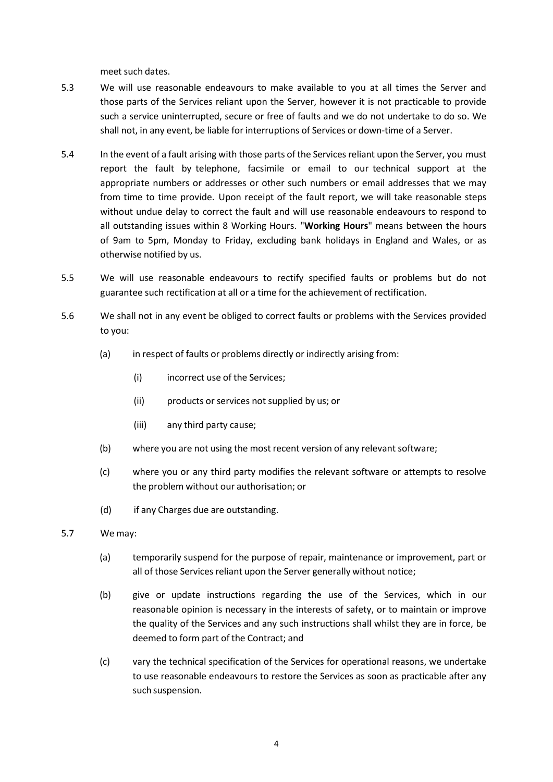meet such dates.

- 5.3 We will use reasonable endeavours to make available to you at all times the Server and those parts of the Services reliant upon the Server, however it is not practicable to provide such a service uninterrupted, secure or free of faults and we do not undertake to do so. We shall not, in any event, be liable for interruptions of Services or down‐time of a Server.
- 5.4 In the event of a fault arising with those parts of the Servicesreliant upon the Server, you must report the fault by telephone, facsimile or email to our technical support at the appropriate numbers or addresses or other such numbers or email addresses that we may from time to time provide. Upon receipt of the fault report, we will take reasonable steps without undue delay to correct the fault and will use reasonable endeavours to respond to all outstanding issues within 8 Working Hours. "**Working Hours**" means between the hours of 9am to 5pm, Monday to Friday, excluding bank holidays in England and Wales, or as otherwise notified by us.
- 5.5 We will use reasonable endeavours to rectify specified faults or problems but do not guarantee such rectification at all or a time for the achievement of rectification.
- 5.6 We shall not in any event be obliged to correct faults or problems with the Services provided to you:
	- (a) in respect of faults or problems directly or indirectly arising from:
		- (i) incorrect use of the Services;
		- (ii) products or services not supplied by us; or
		- (iii) any third party cause;
	- (b) where you are not using the most recent version of any relevant software;
	- (c) where you or any third party modifies the relevant software or attempts to resolve the problem without our authorisation; or
	- (d) if any Charges due are outstanding.
- 5.7 We may:
	- (a) temporarily suspend for the purpose of repair, maintenance or improvement, part or all of those Services reliant upon the Server generally without notice;
	- (b) give or update instructions regarding the use of the Services, which in our reasonable opinion is necessary in the interests of safety, or to maintain or improve the quality of the Services and any such instructions shall whilst they are in force, be deemed to form part of the Contract; and
	- (c) vary the technical specification of the Services for operational reasons, we undertake to use reasonable endeavours to restore the Services as soon as practicable after any such suspension.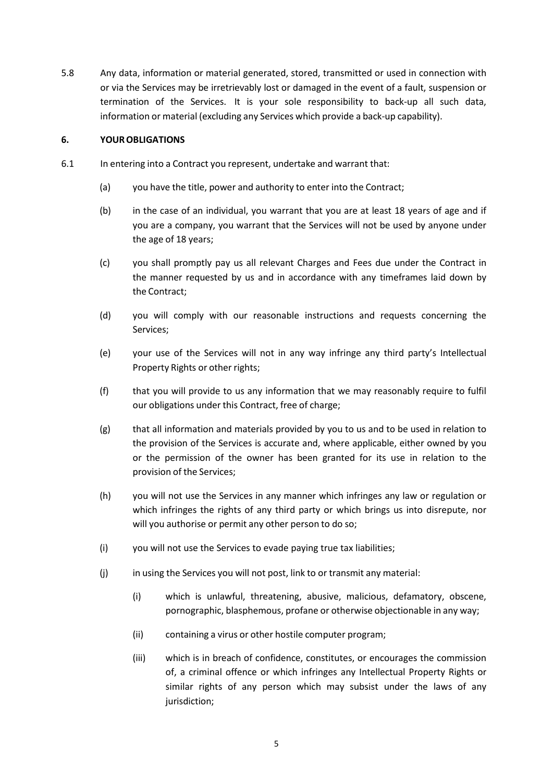5.8 Any data, information or material generated, stored, transmitted or used in connection with or via the Services may be irretrievably lost or damaged in the event of a fault, suspension or termination of the Services. It is your sole responsibility to back‐up all such data, information or material (excluding any Services which provide a back‐up capability).

### **6. YOUROBLIGATIONS**

- 6.1 In entering into a Contract you represent, undertake and warrant that:
	- (a) you have the title, power and authority to enter into the Contract;
	- (b) in the case of an individual, you warrant that you are at least 18 years of age and if you are a company, you warrant that the Services will not be used by anyone under the age of 18 years;
	- (c) you shall promptly pay us all relevant Charges and Fees due under the Contract in the manner requested by us and in accordance with any timeframes laid down by the Contract;
	- (d) you will comply with our reasonable instructions and requests concerning the Services;
	- (e) your use of the Services will not in any way infringe any third party's Intellectual Property Rights or other rights;
	- (f) that you will provide to us any information that we may reasonably require to fulfil our obligations under this Contract, free of charge;
	- (g) that all information and materials provided by you to us and to be used in relation to the provision of the Services is accurate and, where applicable, either owned by you or the permission of the owner has been granted for its use in relation to the provision of the Services;
	- (h) you will not use the Services in any manner which infringes any law or regulation or which infringes the rights of any third party or which brings us into disrepute, nor will you authorise or permit any other person to do so;
	- (i) you will not use the Services to evade paying true tax liabilities;
	- (i) in using the Services you will not post, link to or transmit any material:
		- (i) which is unlawful, threatening, abusive, malicious, defamatory, obscene, pornographic, blasphemous, profane or otherwise objectionable in any way;
		- (ii) containing a virus or other hostile computer program;
		- (iii) which is in breach of confidence, constitutes, or encourages the commission of, a criminal offence or which infringes any Intellectual Property Rights or similar rights of any person which may subsist under the laws of any jurisdiction;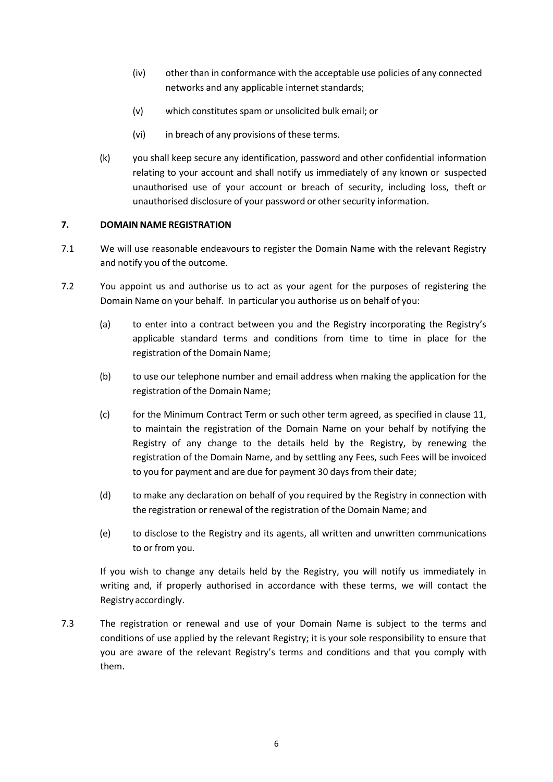- (iv) other than in conformance with the acceptable use policies of any connected networks and any applicable internet standards;
- (v) which constitutes spam or unsolicited bulk email; or
- (vi) in breach of any provisions of these terms.
- (k) you shall keep secure any identification, password and other confidential information relating to your account and shall notify us immediately of any known or suspected unauthorised use of your account or breach of security, including loss, theft or unauthorised disclosure of your password or other security information.

# **7. DOMAIN NAME REGISTRATION**

- 7.1 We will use reasonable endeavours to register the Domain Name with the relevant Registry and notify you of the outcome.
- 7.2 You appoint us and authorise us to act as your agent for the purposes of registering the Domain Name on your behalf. In particular you authorise us on behalf of you:
	- (a) to enter into a contract between you and the Registry incorporating the Registry's applicable standard terms and conditions from time to time in place for the registration of the Domain Name;
	- (b) to use our telephone number and email address when making the application for the registration of the Domain Name;
	- (c) for the Minimum Contract Term or such other term agreed, as specified in clause 11, to maintain the registration of the Domain Name on your behalf by notifying the Registry of any change to the details held by the Registry, by renewing the registration of the Domain Name, and by settling any Fees, such Fees will be invoiced to you for payment and are due for payment 30 days from their date;
	- (d) to make any declaration on behalf of you required by the Registry in connection with the registration or renewal of the registration of the Domain Name; and
	- (e) to disclose to the Registry and its agents, all written and unwritten communications to or from you.

If you wish to change any details held by the Registry, you will notify us immediately in writing and, if properly authorised in accordance with these terms, we will contact the Registry accordingly.

7.3 The registration or renewal and use of your Domain Name is subject to the terms and conditions of use applied by the relevant Registry; it is your sole responsibility to ensure that you are aware of the relevant Registry's terms and conditions and that you comply with them.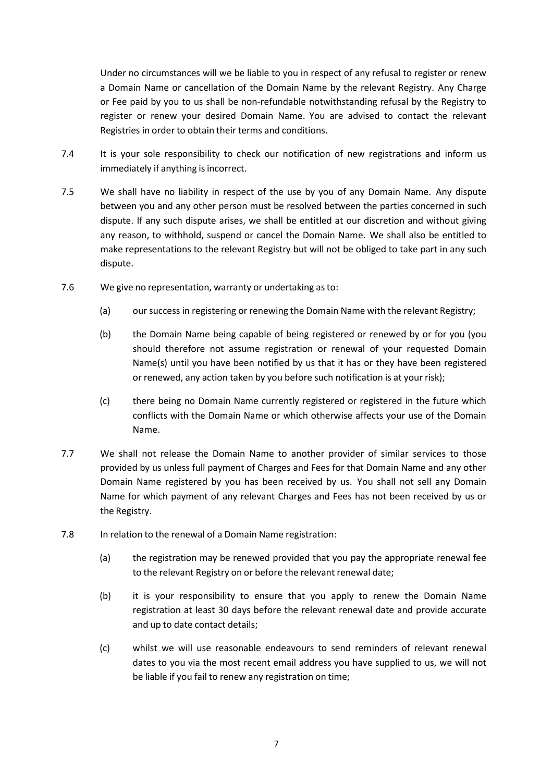Under no circumstances will we be liable to you in respect of any refusal to register or renew a Domain Name or cancellation of the Domain Name by the relevant Registry. Any Charge or Fee paid by you to us shall be non‐refundable notwithstanding refusal by the Registry to register or renew your desired Domain Name. You are advised to contact the relevant Registries in order to obtain their terms and conditions.

- 7.4 It is your sole responsibility to check our notification of new registrations and inform us immediately if anything is incorrect.
- 7.5 We shall have no liability in respect of the use by you of any Domain Name. Any dispute between you and any other person must be resolved between the parties concerned in such dispute. If any such dispute arises, we shall be entitled at our discretion and without giving any reason, to withhold, suspend or cancel the Domain Name. We shall also be entitled to make representations to the relevant Registry but will not be obliged to take part in any such dispute.
- 7.6 We give no representation, warranty or undertaking asto:
	- (a) oursuccess in registering or renewing the Domain Name with the relevant Registry;
	- (b) the Domain Name being capable of being registered or renewed by or for you (you should therefore not assume registration or renewal of your requested Domain Name(s) until you have been notified by us that it has or they have been registered or renewed, any action taken by you before such notification is at your risk);
	- (c) there being no Domain Name currently registered or registered in the future which conflicts with the Domain Name or which otherwise affects your use of the Domain Name.
- 7.7 We shall not release the Domain Name to another provider of similar services to those provided by us unless full payment of Charges and Fees for that Domain Name and any other Domain Name registered by you has been received by us. You shall not sell any Domain Name for which payment of any relevant Charges and Fees has not been received by us or the Registry.
- 7.8 In relation to the renewal of a Domain Name registration:
	- (a) the registration may be renewed provided that you pay the appropriate renewal fee to the relevant Registry on or before the relevant renewal date;
	- (b) it is your responsibility to ensure that you apply to renew the Domain Name registration at least 30 days before the relevant renewal date and provide accurate and up to date contact details;
	- (c) whilst we will use reasonable endeavours to send reminders of relevant renewal dates to you via the most recent email address you have supplied to us, we will not be liable if you fail to renew any registration on time;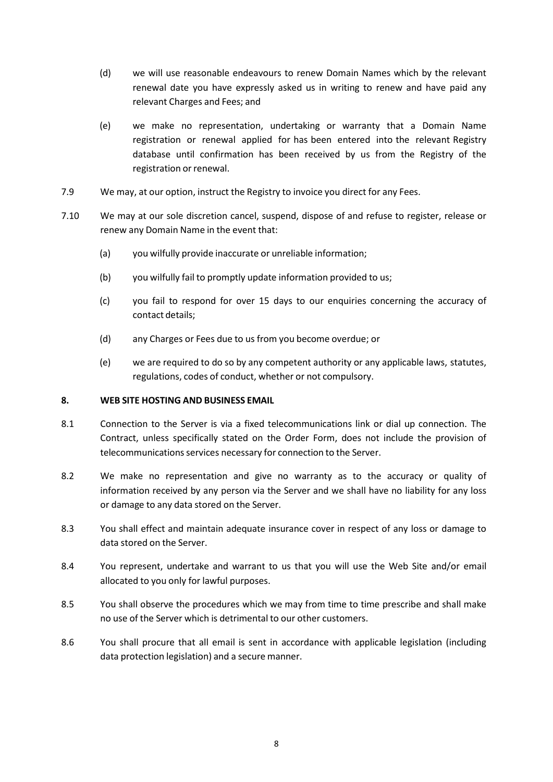- (d) we will use reasonable endeavours to renew Domain Names which by the relevant renewal date you have expressly asked us in writing to renew and have paid any relevant Charges and Fees; and
- (e) we make no representation, undertaking or warranty that a Domain Name registration or renewal applied for has been entered into the relevant Registry database until confirmation has been received by us from the Registry of the registration or renewal.
- 7.9 We may, at our option, instruct the Registry to invoice you direct for any Fees.
- 7.10 We may at our sole discretion cancel, suspend, dispose of and refuse to register, release or renew any Domain Name in the event that:
	- (a) you wilfully provide inaccurate or unreliable information;
	- (b) you wilfully fail to promptly update information provided to us;
	- (c) you fail to respond for over 15 days to our enquiries concerning the accuracy of contact details;
	- (d) any Charges or Fees due to us from you become overdue; or
	- (e) we are required to do so by any competent authority or any applicable laws, statutes, regulations, codes of conduct, whether or not compulsory.

### **8. WEB SITE HOSTING AND BUSINESS EMAIL**

- 8.1 Connection to the Server is via a fixed telecommunications link or dial up connection. The Contract, unless specifically stated on the Order Form, does not include the provision of telecommunications services necessary for connection to the Server.
- 8.2 We make no representation and give no warranty as to the accuracy or quality of information received by any person via the Server and we shall have no liability for any loss or damage to any data stored on the Server.
- 8.3 You shall effect and maintain adequate insurance cover in respect of any loss or damage to data stored on the Server.
- 8.4 You represent, undertake and warrant to us that you will use the Web Site and/or email allocated to you only for lawful purposes.
- 8.5 You shall observe the procedures which we may from time to time prescribe and shall make no use of the Server which is detrimental to our other customers.
- 8.6 You shall procure that all email is sent in accordance with applicable legislation (including data protection legislation) and a secure manner.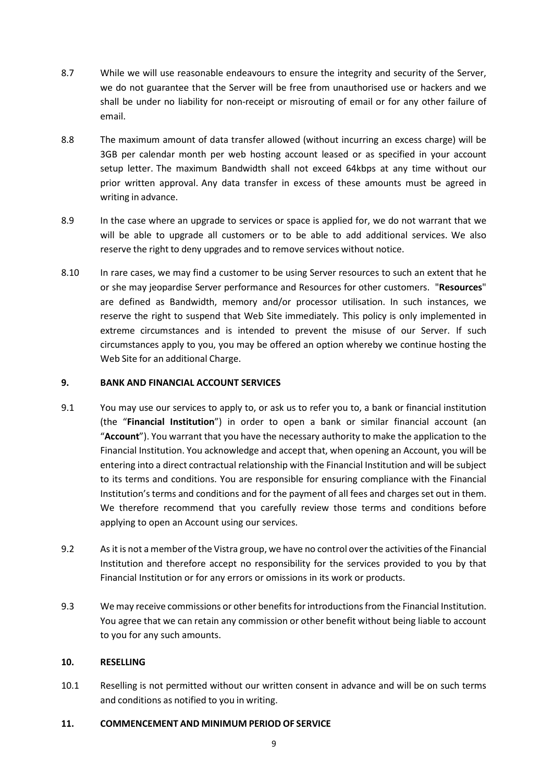- 8.7 While we will use reasonable endeavours to ensure the integrity and security of the Server, we do not guarantee that the Server will be free from unauthorised use or hackers and we shall be under no liability for non-receipt or misrouting of email or for any other failure of email.
- 8.8 The maximum amount of data transfer allowed (without incurring an excess charge) will be 3GB per calendar month per web hosting account leased or as specified in your account setup letter. The maximum Bandwidth shall not exceed 64kbps at any time without our prior written approval. Any data transfer in excess of these amounts must be agreed in writing in advance.
- 8.9 In the case where an upgrade to services or space is applied for, we do not warrant that we will be able to upgrade all customers or to be able to add additional services. We also reserve the right to deny upgrades and to remove services without notice.
- 8.10 In rare cases, we may find a customer to be using Server resources to such an extent that he or she may jeopardise Server performance and Resources for other customers. "**Resources**" are defined as Bandwidth, memory and/or processor utilisation. In such instances, we reserve the right to suspend that Web Site immediately. This policy is only implemented in extreme circumstances and is intended to prevent the misuse of our Server. If such circumstances apply to you, you may be offered an option whereby we continue hosting the Web Site for an additional Charge.

### **9. BANK AND FINANCIAL ACCOUNT SERVICES**

- 9.1 You may use our services to apply to, or ask us to refer you to, a bank or financial institution (the "**Financial Institution**") in order to open a bank or similar financial account (an "**Account**"). You warrant that you have the necessary authority to make the application to the Financial Institution. You acknowledge and accept that, when opening an Account, you will be entering into a direct contractual relationship with the Financial Institution and will be subject to its terms and conditions. You are responsible for ensuring compliance with the Financial Institution's terms and conditions and for the payment of all fees and charges set out in them. We therefore recommend that you carefully review those terms and conditions before applying to open an Account using our services.
- 9.2 As it is not a member of the Vistra group, we have no control over the activities of the Financial Institution and therefore accept no responsibility for the services provided to you by that Financial Institution or for any errors or omissions in its work or products.
- 9.3 We may receive commissions or other benefits for introductions from the Financial Institution. You agree that we can retain any commission or other benefit without being liable to account to you for any such amounts.

### **10. RESELLING**

10.1 Reselling is not permitted without our written consent in advance and will be on such terms and conditions as notified to you in writing.

### **11. COMMENCEMENT AND MINIMUM PERIOD OF SERVICE**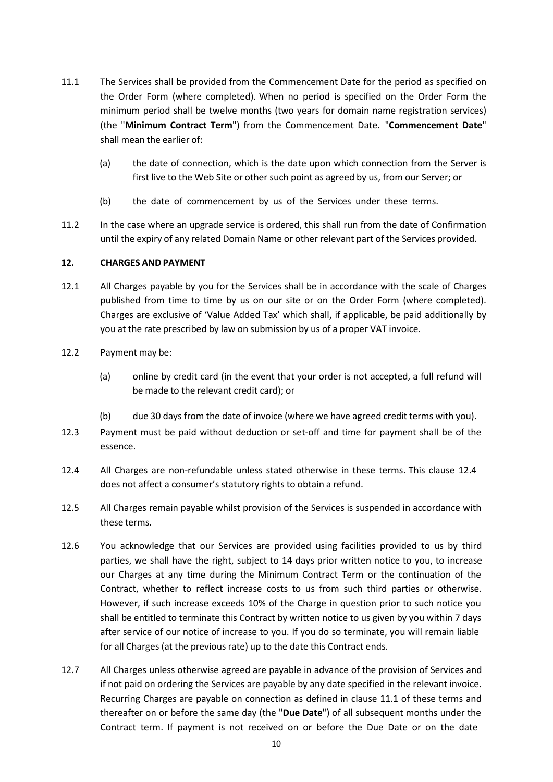- 11.1 The Services shall be provided from the Commencement Date for the period as specified on the Order Form (where completed). When no period is specified on the Order Form the minimum period shall be twelve months (two years for domain name registration services) (the "**Minimum Contract Term**") from the Commencement Date. "**Commencement Date**" shall mean the earlier of:
	- (a) the date of connection, which is the date upon which connection from the Server is first live to the Web Site or other such point as agreed by us, from our Server; or
	- (b) the date of commencement by us of the Services under these terms.
- 11.2 In the case where an upgrade service is ordered, this shall run from the date of Confirmation until the expiry of any related Domain Name or other relevant part of the Services provided.

### **12. CHARGES AND PAYMENT**

- 12.1 All Charges payable by you for the Services shall be in accordance with the scale of Charges published from time to time by us on our site or on the Order Form (where completed). Charges are exclusive of 'Value Added Tax' which shall, if applicable, be paid additionally by you at the rate prescribed by law on submission by us of a proper VAT invoice.
- 12.2 Payment may be:
	- (a) online by credit card (in the event that your order is not accepted, a full refund will be made to the relevant credit card); or
	- (b) due 30 days from the date of invoice (where we have agreed credit terms with you).
- 12.3 Payment must be paid without deduction or set-off and time for payment shall be of the essence.
- 12.4 All Charges are non-refundable unless stated otherwise in these terms. This clause 12.4 does not affect a consumer's statutory rights to obtain a refund.
- 12.5 All Charges remain payable whilst provision of the Services is suspended in accordance with these terms.
- 12.6 You acknowledge that our Services are provided using facilities provided to us by third parties, we shall have the right, subject to 14 days prior written notice to you, to increase our Charges at any time during the Minimum Contract Term or the continuation of the Contract, whether to reflect increase costs to us from such third parties or otherwise. However, if such increase exceeds 10% of the Charge in question prior to such notice you shall be entitled to terminate this Contract by written notice to us given by you within 7 days after service of our notice of increase to you. If you do so terminate, you will remain liable for all Charges (at the previous rate) up to the date this Contract ends.
- 12.7 All Charges unless otherwise agreed are payable in advance of the provision of Services and if not paid on ordering the Services are payable by any date specified in the relevant invoice. Recurring Charges are payable on connection as defined in clause 11.1 of these terms and thereafter on or before the same day (the "**Due Date**") of all subsequent months under the Contract term. If payment is not received on or before the Due Date or on the date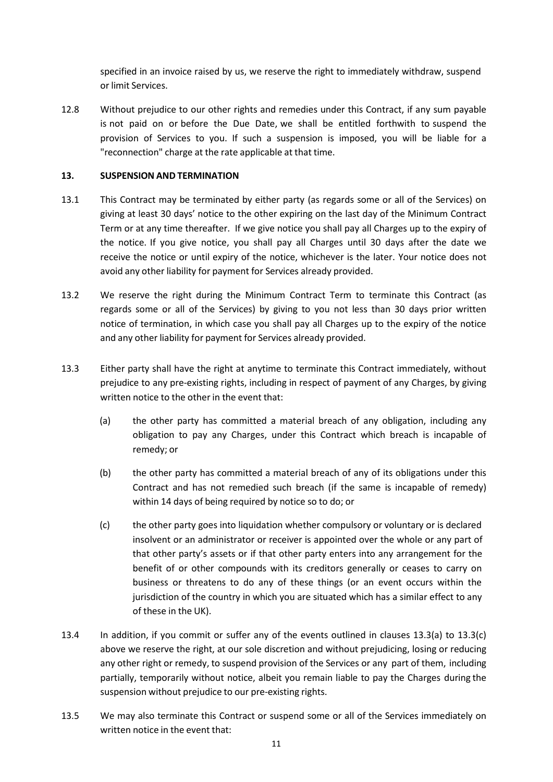specified in an invoice raised by us, we reserve the right to immediately withdraw, suspend or limit Services.

12.8 Without prejudice to our other rights and remedies under this Contract, if any sum payable is not paid on or before the Due Date, we shall be entitled forthwith to suspend the provision of Services to you. If such a suspension is imposed, you will be liable for a "reconnection" charge at the rate applicable at that time.

## **13. SUSPENSION AND TERMINATION**

- 13.1 This Contract may be terminated by either party (as regards some or all of the Services) on giving at least 30 days' notice to the other expiring on the last day of the Minimum Contract Term or at any time thereafter. If we give notice you shall pay all Charges up to the expiry of the notice. If you give notice, you shall pay all Charges until 30 days after the date we receive the notice or until expiry of the notice, whichever is the later. Your notice does not avoid any other liability for payment for Services already provided.
- 13.2 We reserve the right during the Minimum Contract Term to terminate this Contract (as regards some or all of the Services) by giving to you not less than 30 days prior written notice of termination, in which case you shall pay all Charges up to the expiry of the notice and any other liability for payment for Services already provided.
- 13.3 Either party shall have the right at anytime to terminate this Contract immediately, without prejudice to any pre‐existing rights, including in respect of payment of any Charges, by giving written notice to the other in the event that:
	- (a) the other party has committed a material breach of any obligation, including any obligation to pay any Charges, under this Contract which breach is incapable of remedy; or
	- (b) the other party has committed a material breach of any of its obligations under this Contract and has not remedied such breach (if the same is incapable of remedy) within 14 days of being required by notice so to do; or
	- (c) the other party goes into liquidation whether compulsory or voluntary or is declared insolvent or an administrator or receiver is appointed over the whole or any part of that other party's assets or if that other party enters into any arrangement for the benefit of or other compounds with its creditors generally or ceases to carry on business or threatens to do any of these things (or an event occurs within the jurisdiction of the country in which you are situated which has a similar effect to any of these in the UK).
- 13.4 In addition, if you commit or suffer any of the events outlined in clauses 13.3(a) to 13.3(c) above we reserve the right, at our sole discretion and without prejudicing, losing or reducing any other right or remedy, to suspend provision of the Services or any part of them, including partially, temporarily without notice, albeit you remain liable to pay the Charges during the suspension without prejudice to our pre‐existing rights.
- 13.5 We may also terminate this Contract or suspend some or all of the Services immediately on written notice in the event that: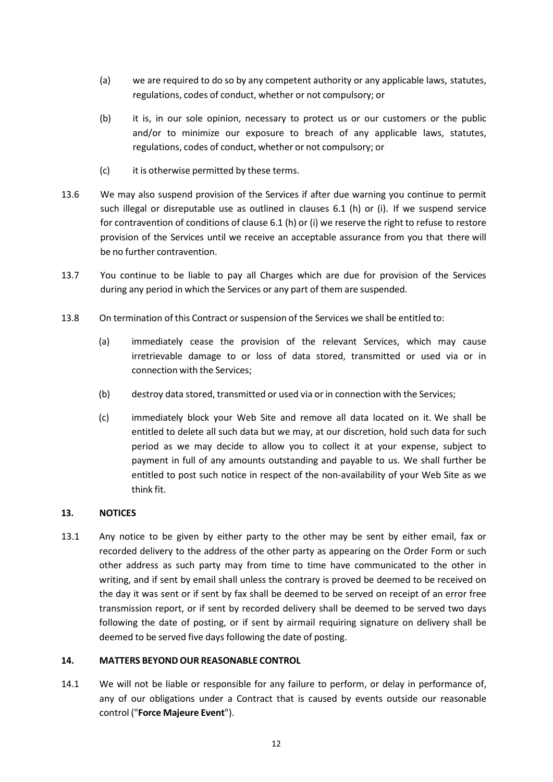- (a) we are required to do so by any competent authority or any applicable laws, statutes, regulations, codes of conduct, whether or not compulsory; or
- (b) it is, in our sole opinion, necessary to protect us or our customers or the public and/or to minimize our exposure to breach of any applicable laws, statutes, regulations, codes of conduct, whether or not compulsory; or
- (c) it is otherwise permitted by these terms.
- 13.6 We may also suspend provision of the Services if after due warning you continue to permit such illegal or disreputable use as outlined in clauses 6.1 (h) or (i). If we suspend service for contravention of conditions of clause 6.1 (h) or (i) we reserve the right to refuse to restore provision of the Services until we receive an acceptable assurance from you that there will be no further contravention.
- 13.7 You continue to be liable to pay all Charges which are due for provision of the Services during any period in which the Services or any part of them are suspended.
- 13.8 On termination of this Contract or suspension of the Services we shall be entitled to:
	- (a) immediately cease the provision of the relevant Services, which may cause irretrievable damage to or loss of data stored, transmitted or used via or in connection with the Services;
	- (b) destroy data stored, transmitted or used via or in connection with the Services;
	- (c) immediately block your Web Site and remove all data located on it. We shall be entitled to delete all such data but we may, at our discretion, hold such data for such period as we may decide to allow you to collect it at your expense, subject to payment in full of any amounts outstanding and payable to us. We shall further be entitled to post such notice in respect of the non-availability of your Web Site as we think fit.

### **13. NOTICES**

13.1 Any notice to be given by either party to the other may be sent by either email, fax or recorded delivery to the address of the other party as appearing on the Order Form or such other address as such party may from time to time have communicated to the other in writing, and if sent by email shall unless the contrary is proved be deemed to be received on the day it was sent or if sent by fax shall be deemed to be served on receipt of an error free transmission report, or if sent by recorded delivery shall be deemed to be served two days following the date of posting, or if sent by airmail requiring signature on delivery shall be deemed to be served five days following the date of posting.

### **14. MATTERS BEYOND OUR REASONABLE CONTROL**

14.1 We will not be liable or responsible for any failure to perform, or delay in performance of, any of our obligations under a Contract that is caused by events outside our reasonable control ("**Force Majeure Event**").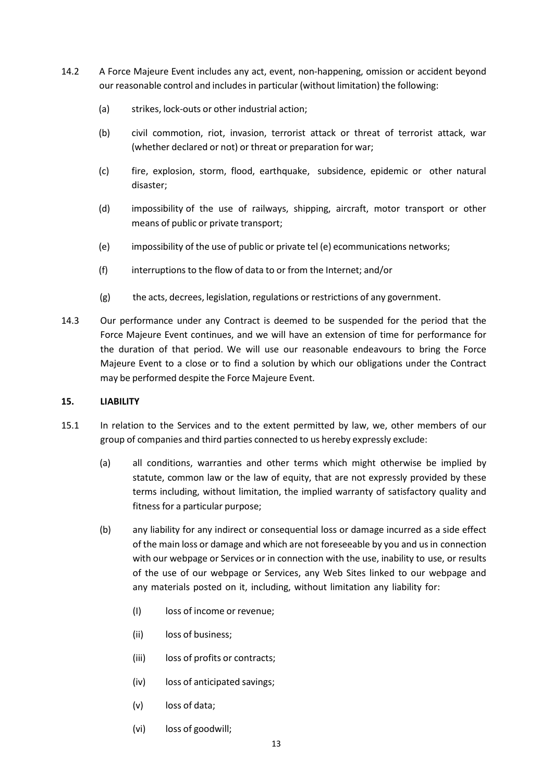- 14.2 A Force Majeure Event includes any act, event, non-happening, omission or accident beyond our reasonable control and includes in particular (without limitation) the following:
	- (a) strikes, lock‐outs or other industrial action;
	- (b) civil commotion, riot, invasion, terrorist attack or threat of terrorist attack, war (whether declared or not) or threat or preparation for war;
	- (c) fire, explosion, storm, flood, earthquake, subsidence, epidemic or other natural disaster;
	- (d) impossibility of the use of railways, shipping, aircraft, motor transport or other means of public or private transport;
	- (e) impossibility of the use of public or private tel (e) ecommunications networks;
	- (f) interruptions to the flow of data to or from the Internet; and/or
	- (g) the acts, decrees, legislation, regulations or restrictions of any government.
- 14.3 Our performance under any Contract is deemed to be suspended for the period that the Force Majeure Event continues, and we will have an extension of time for performance for the duration of that period. We will use our reasonable endeavours to bring the Force Majeure Event to a close or to find a solution by which our obligations under the Contract may be performed despite the Force Majeure Event.

# **15. LIABILITY**

- 15.1 In relation to the Services and to the extent permitted by law, we, other members of our group of companies and third parties connected to us hereby expressly exclude:
	- (a) all conditions, warranties and other terms which might otherwise be implied by statute, common law or the law of equity, that are not expressly provided by these terms including, without limitation, the implied warranty of satisfactory quality and fitness for a particular purpose;
	- (b) any liability for any indirect or consequential loss or damage incurred as a side effect of the main loss or damage and which are not foreseeable by you and usin connection with our webpage or Services or in connection with the use, inability to use, or results of the use of our webpage or Services, any Web Sites linked to our webpage and any materials posted on it, including, without limitation any liability for:
		- (I) loss of income or revenue;
		- (ii) loss of business;
		- (iii) loss of profits or contracts;
		- (iv) loss of anticipated savings;
		- (v) loss of data;
		- (vi) loss of goodwill;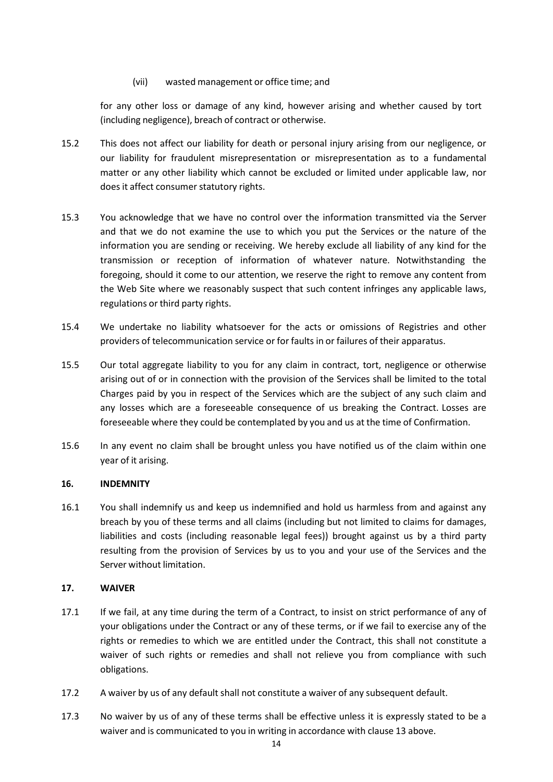## (vii) wasted management or office time; and

for any other loss or damage of any kind, however arising and whether caused by tort (including negligence), breach of contract or otherwise.

- 15.2 This does not affect our liability for death or personal injury arising from our negligence, or our liability for fraudulent misrepresentation or misrepresentation as to a fundamental matter or any other liability which cannot be excluded or limited under applicable law, nor does it affect consumer statutory rights.
- 15.3 You acknowledge that we have no control over the information transmitted via the Server and that we do not examine the use to which you put the Services or the nature of the information you are sending or receiving. We hereby exclude all liability of any kind for the transmission or reception of information of whatever nature. Notwithstanding the foregoing, should it come to our attention, we reserve the right to remove any content from the Web Site where we reasonably suspect that such content infringes any applicable laws, regulations or third party rights.
- 15.4 We undertake no liability whatsoever for the acts or omissions of Registries and other providers of telecommunication service or for faults in or failures of their apparatus.
- 15.5 Our total aggregate liability to you for any claim in contract, tort, negligence or otherwise arising out of or in connection with the provision of the Services shall be limited to the total Charges paid by you in respect of the Services which are the subject of any such claim and any losses which are a foreseeable consequence of us breaking the Contract. Losses are foreseeable where they could be contemplated by you and us at the time of Confirmation.
- 15.6 In any event no claim shall be brought unless you have notified us of the claim within one year of it arising.

### **16. INDEMNITY**

16.1 You shall indemnify us and keep us indemnified and hold us harmless from and against any breach by you of these terms and all claims (including but not limited to claims for damages, liabilities and costs (including reasonable legal fees)) brought against us by a third party resulting from the provision of Services by us to you and your use of the Services and the Server without limitation.

### **17. WAIVER**

- 17.1 If we fail, at any time during the term of a Contract, to insist on strict performance of any of your obligations under the Contract or any of these terms, or if we fail to exercise any of the rights or remedies to which we are entitled under the Contract, this shall not constitute a waiver of such rights or remedies and shall not relieve you from compliance with such obligations.
- 17.2 A waiver by us of any default shall not constitute a waiver of any subsequent default.
- 17.3 No waiver by us of any of these terms shall be effective unless it is expressly stated to be a waiver and is communicated to you in writing in accordance with clause 13 above.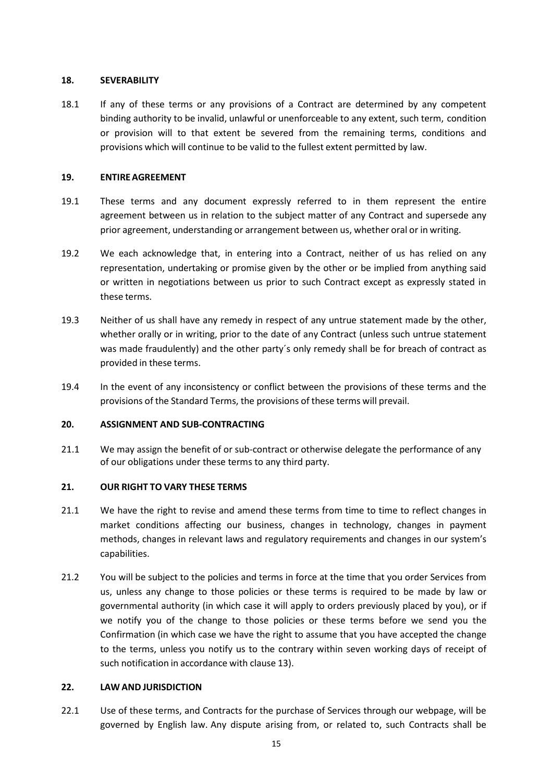### **18. SEVERABILITY**

18.1 If any of these terms or any provisions of a Contract are determined by any competent binding authority to be invalid, unlawful or unenforceable to any extent, such term, condition or provision will to that extent be severed from the remaining terms, conditions and provisions which will continue to be valid to the fullest extent permitted by law.

## **19. ENTIREAGREEMENT**

- 19.1 These terms and any document expressly referred to in them represent the entire agreement between us in relation to the subject matter of any Contract and supersede any prior agreement, understanding or arrangement between us, whether oral or in writing.
- 19.2 We each acknowledge that, in entering into a Contract, neither of us has relied on any representation, undertaking or promise given by the other or be implied from anything said or written in negotiations between us prior to such Contract except as expressly stated in these terms.
- 19.3 Neither of us shall have any remedy in respect of any untrue statement made by the other, whether orally or in writing, prior to the date of any Contract (unless such untrue statement was made fraudulently) and the other party´s only remedy shall be for breach of contract as provided in these terms.
- 19.4 In the event of any inconsistency or conflict between the provisions of these terms and the provisions of the Standard Terms, the provisions of these terms will prevail.

# **20. ASSIGNMENT AND SUB-CONTRACTING**

21.1 We may assign the benefit of or sub-contract or otherwise delegate the performance of any of our obligations under these terms to any third party.

# **21. OUR RIGHT TO VARY THESE TERMS**

- 21.1 We have the right to revise and amend these terms from time to time to reflect changes in market conditions affecting our business, changes in technology, changes in payment methods, changes in relevant laws and regulatory requirements and changes in our system's capabilities.
- 21.2 You will be subject to the policies and terms in force at the time that you order Services from us, unless any change to those policies or these terms is required to be made by law or governmental authority (in which case it will apply to orders previously placed by you), or if we notify you of the change to those policies or these terms before we send you the Confirmation (in which case we have the right to assume that you have accepted the change to the terms, unless you notify us to the contrary within seven working days of receipt of such notification in accordance with clause 13).

### **22. LAW AND JURISDICTION**

22.1 Use of these terms, and Contracts for the purchase of Services through our webpage, will be governed by English law. Any dispute arising from, or related to, such Contracts shall be